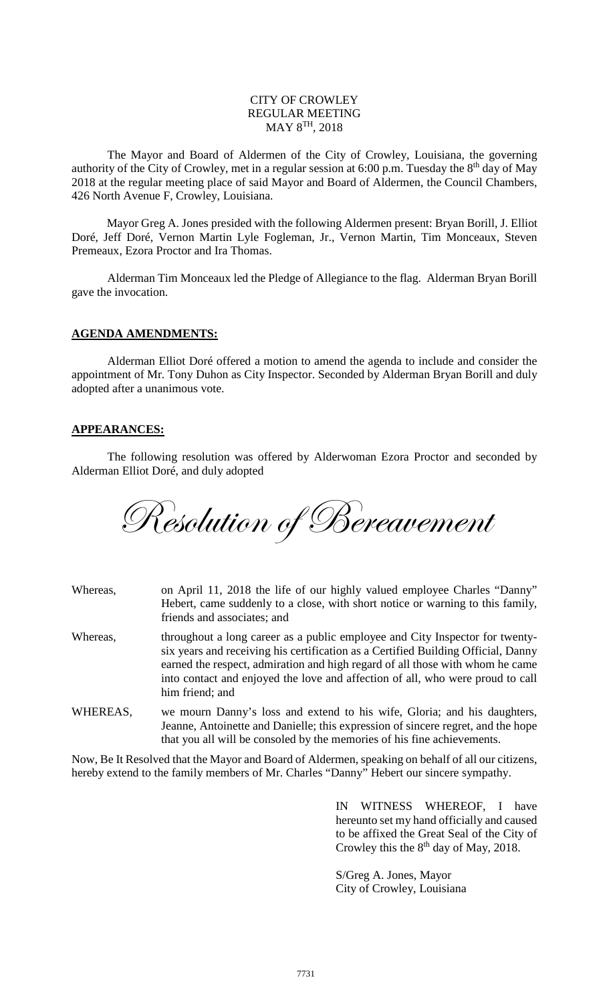## CITY OF CROWLEY REGULAR MEETING  $\text{MAY } 8^{\text{TH}}$ , 2018

The Mayor and Board of Aldermen of the City of Crowley, Louisiana, the governing authority of the City of Crowley, met in a regular session at 6:00 p.m. Tuesday the 8<sup>th</sup> day of May 2018 at the regular meeting place of said Mayor and Board of Aldermen, the Council Chambers, 426 North Avenue F, Crowley, Louisiana.

Mayor Greg A. Jones presided with the following Aldermen present: Bryan Borill, J. Elliot Doré, Jeff Doré, Vernon Martin Lyle Fogleman, Jr., Vernon Martin, Tim Monceaux, Steven Premeaux, Ezora Proctor and Ira Thomas.

Alderman Tim Monceaux led the Pledge of Allegiance to the flag. Alderman Bryan Borill gave the invocation.

### **AGENDA AMENDMENTS:**

Alderman Elliot Doré offered a motion to amend the agenda to include and consider the appointment of Mr. Tony Duhon as City Inspector. Seconded by Alderman Bryan Borill and duly adopted after a unanimous vote.

### **APPEARANCES:**

The following resolution was offered by Alderwoman Ezora Proctor and seconded by Alderman Elliot Doré, and duly adopted

Resolution of Bereavement

| Whereas, | on April 11, 2018 the life of our highly valued employee Charles "Danny"<br>Hebert, came suddenly to a close, with short notice or warning to this family,<br>friends and associates; and                                                                                                                                                               |
|----------|---------------------------------------------------------------------------------------------------------------------------------------------------------------------------------------------------------------------------------------------------------------------------------------------------------------------------------------------------------|
| Whereas, | throughout a long career as a public employee and City Inspector for twenty-<br>six years and receiving his certification as a Certified Building Official, Danny<br>earned the respect, admiration and high regard of all those with whom he came<br>into contact and enjoyed the love and affection of all, who were proud to call<br>him friend; and |
| WHEREAS, | we mourn Danny's loss and extend to his wife, Gloria; and his daughters,<br>Jeanne, Antoinette and Danielle; this expression of sincere regret, and the hope<br>that you all will be consoled by the memories of his fine achievements.                                                                                                                 |
|          | Now Do It Decelved that the Mayar and Deard of Alderman, appeling on hebelf of ell our oitizence                                                                                                                                                                                                                                                        |

Now, Be It Resolved that the Mayor and Board of Aldermen, speaking on behalf of all our citizens, hereby extend to the family members of Mr. Charles "Danny" Hebert our sincere sympathy.

> IN WITNESS WHEREOF, I have hereunto set my hand officially and caused to be affixed the Great Seal of the City of Crowley this the  $8<sup>th</sup>$  day of May, 2018.

S/Greg A. Jones, Mayor City of Crowley, Louisiana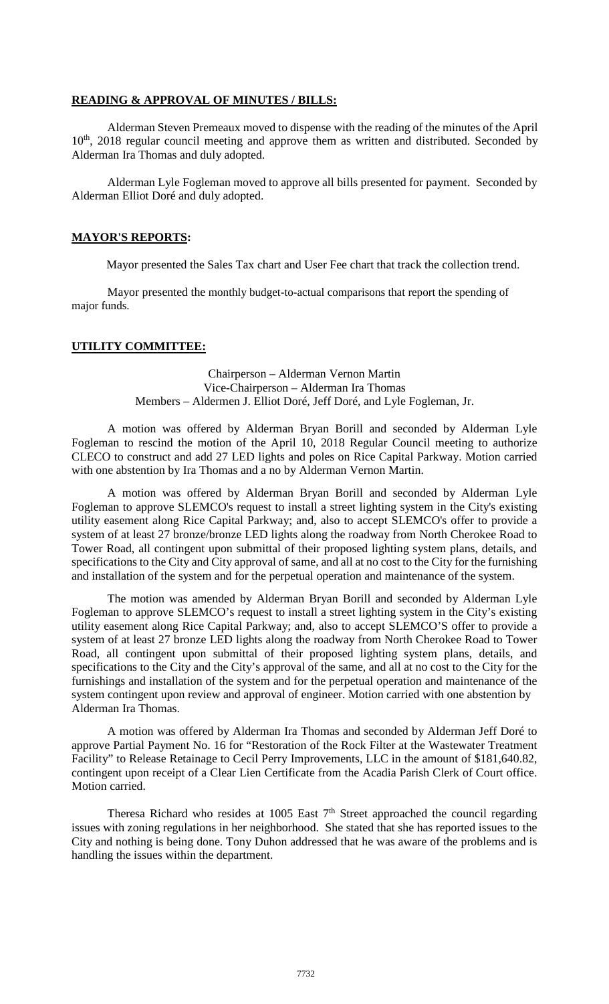#### **READING & APPROVAL OF MINUTES / BILLS:**

Alderman Steven Premeaux moved to dispense with the reading of the minutes of the April 10<sup>th</sup>, 2018 regular council meeting and approve them as written and distributed. Seconded by Alderman Ira Thomas and duly adopted.

Alderman Lyle Fogleman moved to approve all bills presented for payment. Seconded by Alderman Elliot Doré and duly adopted.

#### **MAYOR'S REPORTS:**

Mayor presented the Sales Tax chart and User Fee chart that track the collection trend.

Mayor presented the monthly budget-to-actual comparisons that report the spending of major funds.

## **UTILITY COMMITTEE:**

Chairperson – Alderman Vernon Martin Vice-Chairperson – Alderman Ira Thomas Members – Aldermen J. Elliot Doré, Jeff Doré, and Lyle Fogleman, Jr.

A motion was offered by Alderman Bryan Borill and seconded by Alderman Lyle Fogleman to rescind the motion of the April 10, 2018 Regular Council meeting to authorize CLECO to construct and add 27 LED lights and poles on Rice Capital Parkway. Motion carried with one abstention by Ira Thomas and a no by Alderman Vernon Martin.

A motion was offered by Alderman Bryan Borill and seconded by Alderman Lyle Fogleman to approve SLEMCO's request to install a street lighting system in the City's existing utility easement along Rice Capital Parkway; and, also to accept SLEMCO's offer to provide a system of at least 27 bronze/bronze LED lights along the roadway from North Cherokee Road to Tower Road, all contingent upon submittal of their proposed lighting system plans, details, and specifications to the City and City approval of same, and all at no cost to the City for the furnishing and installation of the system and for the perpetual operation and maintenance of the system.

The motion was amended by Alderman Bryan Borill and seconded by Alderman Lyle Fogleman to approve SLEMCO's request to install a street lighting system in the City's existing utility easement along Rice Capital Parkway; and, also to accept SLEMCO'S offer to provide a system of at least 27 bronze LED lights along the roadway from North Cherokee Road to Tower Road, all contingent upon submittal of their proposed lighting system plans, details, and specifications to the City and the City's approval of the same, and all at no cost to the City for the furnishings and installation of the system and for the perpetual operation and maintenance of the system contingent upon review and approval of engineer. Motion carried with one abstention by Alderman Ira Thomas.

A motion was offered by Alderman Ira Thomas and seconded by Alderman Jeff Doré to approve Partial Payment No. 16 for "Restoration of the Rock Filter at the Wastewater Treatment Facility" to Release Retainage to Cecil Perry Improvements, LLC in the amount of \$181,640.82, contingent upon receipt of a Clear Lien Certificate from the Acadia Parish Clerk of Court office. Motion carried.

Theresa Richard who resides at 1005 East 7<sup>th</sup> Street approached the council regarding issues with zoning regulations in her neighborhood. She stated that she has reported issues to the City and nothing is being done. Tony Duhon addressed that he was aware of the problems and is handling the issues within the department.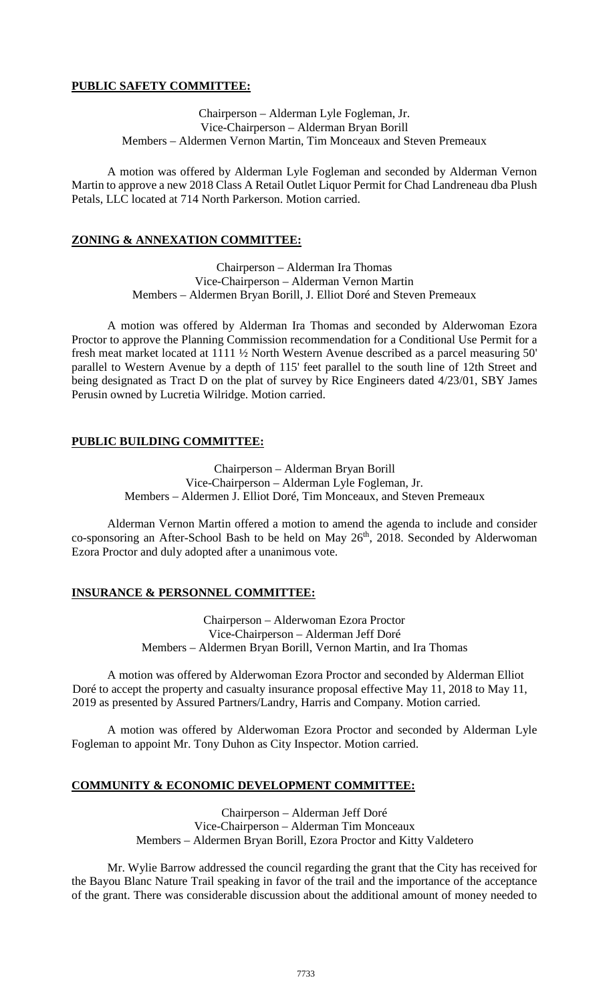## **PUBLIC SAFETY COMMITTEE:**

Chairperson – Alderman Lyle Fogleman, Jr. Vice-Chairperson – Alderman Bryan Borill Members – Aldermen Vernon Martin, Tim Monceaux and Steven Premeaux

A motion was offered by Alderman Lyle Fogleman and seconded by Alderman Vernon Martin to approve a new 2018 Class A Retail Outlet Liquor Permit for Chad Landreneau dba Plush Petals, LLC located at 714 North Parkerson. Motion carried.

## **ZONING & ANNEXATION COMMITTEE:**

Chairperson – Alderman Ira Thomas Vice-Chairperson – Alderman Vernon Martin Members – Aldermen Bryan Borill, J. Elliot Doré and Steven Premeaux

A motion was offered by Alderman Ira Thomas and seconded by Alderwoman Ezora Proctor to approve the Planning Commission recommendation for a Conditional Use Permit for a fresh meat market located at 1111 ½ North Western Avenue described as a parcel measuring 50' parallel to Western Avenue by a depth of 115' feet parallel to the south line of 12th Street and being designated as Tract D on the plat of survey by Rice Engineers dated 4/23/01, SBY James Perusin owned by Lucretia Wilridge. Motion carried.

# **PUBLIC BUILDING COMMITTEE:**

Chairperson – Alderman Bryan Borill Vice-Chairperson – Alderman Lyle Fogleman, Jr. Members – Aldermen J. Elliot Doré, Tim Monceaux, and Steven Premeaux

Alderman Vernon Martin offered a motion to amend the agenda to include and consider co-sponsoring an After-School Bash to be held on May  $26<sup>th</sup>$ , 2018. Seconded by Alderwoman Ezora Proctor and duly adopted after a unanimous vote.

# **INSURANCE & PERSONNEL COMMITTEE:**

Chairperson – Alderwoman Ezora Proctor Vice-Chairperson – Alderman Jeff Doré Members – Aldermen Bryan Borill, Vernon Martin, and Ira Thomas

A motion was offered by Alderwoman Ezora Proctor and seconded by Alderman Elliot Doré to accept the property and casualty insurance proposal effective May 11, 2018 to May 11, 2019 as presented by Assured Partners/Landry, Harris and Company. Motion carried.

A motion was offered by Alderwoman Ezora Proctor and seconded by Alderman Lyle Fogleman to appoint Mr. Tony Duhon as City Inspector. Motion carried.

## **COMMUNITY & ECONOMIC DEVELOPMENT COMMITTEE:**

Chairperson – Alderman Jeff Doré Vice-Chairperson – Alderman Tim Monceaux Members – Aldermen Bryan Borill, Ezora Proctor and Kitty Valdetero

Mr. Wylie Barrow addressed the council regarding the grant that the City has received for the Bayou Blanc Nature Trail speaking in favor of the trail and the importance of the acceptance of the grant. There was considerable discussion about the additional amount of money needed to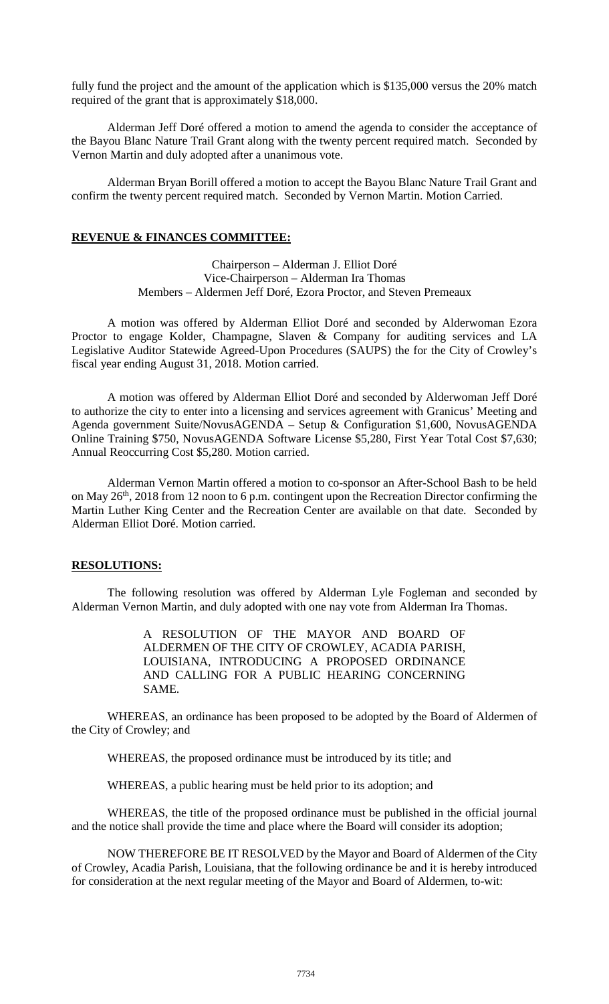fully fund the project and the amount of the application which is \$135,000 versus the 20% match required of the grant that is approximately \$18,000.

Alderman Jeff Doré offered a motion to amend the agenda to consider the acceptance of the Bayou Blanc Nature Trail Grant along with the twenty percent required match. Seconded by Vernon Martin and duly adopted after a unanimous vote.

Alderman Bryan Borill offered a motion to accept the Bayou Blanc Nature Trail Grant and confirm the twenty percent required match. Seconded by Vernon Martin. Motion Carried.

### **REVENUE & FINANCES COMMITTEE:**

Chairperson – Alderman J. Elliot Doré Vice-Chairperson – Alderman Ira Thomas Members – Aldermen Jeff Doré, Ezora Proctor, and Steven Premeaux

A motion was offered by Alderman Elliot Doré and seconded by Alderwoman Ezora Proctor to engage Kolder, Champagne, Slaven & Company for auditing services and LA Legislative Auditor Statewide Agreed-Upon Procedures (SAUPS) the for the City of Crowley's fiscal year ending August 31, 2018. Motion carried.

A motion was offered by Alderman Elliot Doré and seconded by Alderwoman Jeff Doré to authorize the city to enter into a licensing and services agreement with Granicus' Meeting and Agenda government Suite/NovusAGENDA – Setup & Configuration \$1,600, NovusAGENDA Online Training \$750, NovusAGENDA Software License \$5,280, First Year Total Cost \$7,630; Annual Reoccurring Cost \$5,280. Motion carried.

Alderman Vernon Martin offered a motion to co-sponsor an After-School Bash to be held on May 26<sup>th</sup>, 2018 from 12 noon to 6 p.m. contingent upon the Recreation Director confirming the Martin Luther King Center and the Recreation Center are available on that date. Seconded by Alderman Elliot Doré. Motion carried.

## **RESOLUTIONS:**

The following resolution was offered by Alderman Lyle Fogleman and seconded by Alderman Vernon Martin, and duly adopted with one nay vote from Alderman Ira Thomas.

> A RESOLUTION OF THE MAYOR AND BOARD OF ALDERMEN OF THE CITY OF CROWLEY, ACADIA PARISH, LOUISIANA, INTRODUCING A PROPOSED ORDINANCE AND CALLING FOR A PUBLIC HEARING CONCERNING SAME.

WHEREAS, an ordinance has been proposed to be adopted by the Board of Aldermen of the City of Crowley; and

WHEREAS, the proposed ordinance must be introduced by its title; and

WHEREAS, a public hearing must be held prior to its adoption; and

WHEREAS, the title of the proposed ordinance must be published in the official journal and the notice shall provide the time and place where the Board will consider its adoption;

NOW THEREFORE BE IT RESOLVED by the Mayor and Board of Aldermen of the City of Crowley, Acadia Parish, Louisiana, that the following ordinance be and it is hereby introduced for consideration at the next regular meeting of the Mayor and Board of Aldermen, to-wit: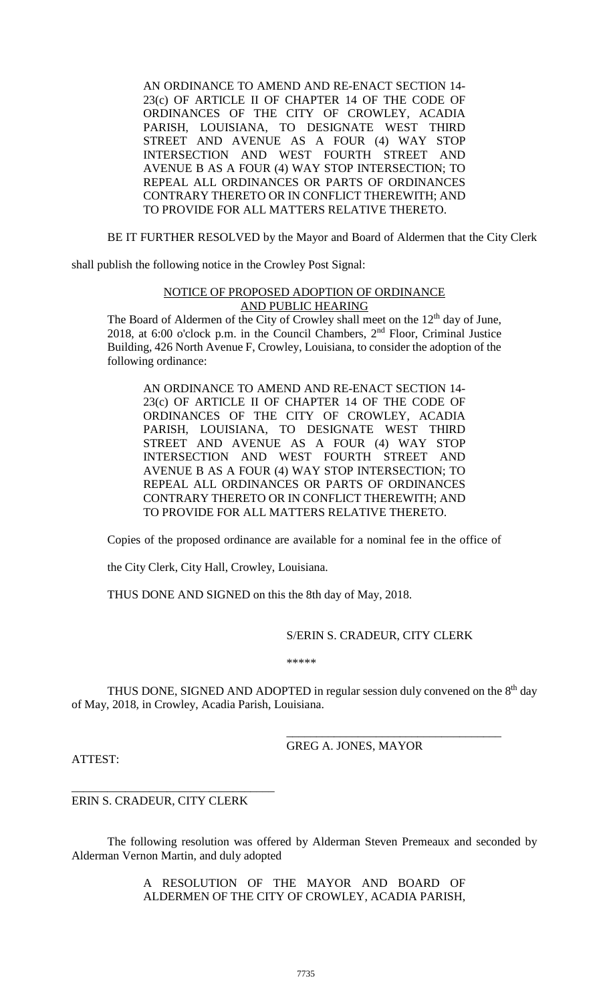AN ORDINANCE TO AMEND AND RE-ENACT SECTION 14- 23(c) OF ARTICLE II OF CHAPTER 14 OF THE CODE OF ORDINANCES OF THE CITY OF CROWLEY, ACADIA PARISH, LOUISIANA, TO DESIGNATE WEST THIRD STREET AND AVENUE AS A FOUR (4) WAY STOP INTERSECTION AND WEST FOURTH STREET AND AVENUE B AS A FOUR (4) WAY STOP INTERSECTION; TO REPEAL ALL ORDINANCES OR PARTS OF ORDINANCES CONTRARY THERETO OR IN CONFLICT THEREWITH; AND TO PROVIDE FOR ALL MATTERS RELATIVE THERETO.

BE IT FURTHER RESOLVED by the Mayor and Board of Aldermen that the City Clerk

shall publish the following notice in the Crowley Post Signal:

## NOTICE OF PROPOSED ADOPTION OF ORDINANCE AND PUBLIC HEARING

The Board of Aldermen of the City of Crowley shall meet on the  $12<sup>th</sup>$  day of June, 2018, at 6:00 o'clock p.m. in the Council Chambers, 2nd Floor, Criminal Justice Building, 426 North Avenue F, Crowley, Louisiana, to consider the adoption of the following ordinance:

AN ORDINANCE TO AMEND AND RE-ENACT SECTION 14- 23(c) OF ARTICLE II OF CHAPTER 14 OF THE CODE OF ORDINANCES OF THE CITY OF CROWLEY, ACADIA PARISH, LOUISIANA, TO DESIGNATE WEST THIRD STREET AND AVENUE AS A FOUR (4) WAY STOP INTERSECTION AND WEST FOURTH STREET AND AVENUE B AS A FOUR (4) WAY STOP INTERSECTION; TO REPEAL ALL ORDINANCES OR PARTS OF ORDINANCES CONTRARY THERETO OR IN CONFLICT THEREWITH; AND TO PROVIDE FOR ALL MATTERS RELATIVE THERETO.

Copies of the proposed ordinance are available for a nominal fee in the office of

the City Clerk, City Hall, Crowley, Louisiana.

THUS DONE AND SIGNED on this the 8th day of May, 2018.

#### S/ERIN S. CRADEUR, CITY CLERK

\_\_\_\_\_\_\_\_\_\_\_\_\_\_\_\_\_\_\_\_\_\_\_\_\_\_\_\_\_\_\_\_\_\_\_\_

\*\*\*\*\*

THUS DONE, SIGNED AND ADOPTED in regular session duly convened on the  $8<sup>th</sup>$  day of May, 2018, in Crowley, Acadia Parish, Louisiana.

GREG A. JONES, MAYOR

ATTEST:

ERIN S. CRADEUR, CITY CLERK

\_\_\_\_\_\_\_\_\_\_\_\_\_\_\_\_\_\_\_\_\_\_\_\_\_\_\_\_\_\_\_\_\_\_

The following resolution was offered by Alderman Steven Premeaux and seconded by Alderman Vernon Martin, and duly adopted

> A RESOLUTION OF THE MAYOR AND BOARD OF ALDERMEN OF THE CITY OF CROWLEY, ACADIA PARISH,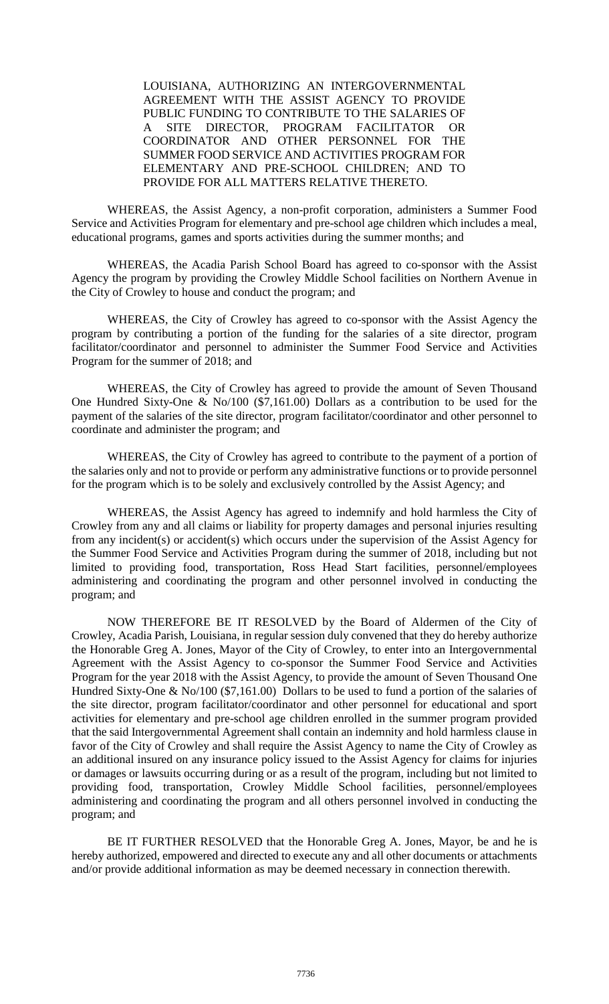LOUISIANA, AUTHORIZING AN INTERGOVERNMENTAL AGREEMENT WITH THE ASSIST AGENCY TO PROVIDE PUBLIC FUNDING TO CONTRIBUTE TO THE SALARIES OF A SITE DIRECTOR, PROGRAM FACILITATOR OR COORDINATOR AND OTHER PERSONNEL FOR THE SUMMER FOOD SERVICE AND ACTIVITIES PROGRAM FOR ELEMENTARY AND PRE-SCHOOL CHILDREN; AND TO PROVIDE FOR ALL MATTERS RELATIVE THERETO.

WHEREAS, the Assist Agency, a non-profit corporation, administers a Summer Food Service and Activities Program for elementary and pre-school age children which includes a meal, educational programs, games and sports activities during the summer months; and

WHEREAS, the Acadia Parish School Board has agreed to co-sponsor with the Assist Agency the program by providing the Crowley Middle School facilities on Northern Avenue in the City of Crowley to house and conduct the program; and

WHEREAS, the City of Crowley has agreed to co-sponsor with the Assist Agency the program by contributing a portion of the funding for the salaries of a site director, program facilitator/coordinator and personnel to administer the Summer Food Service and Activities Program for the summer of 2018; and

WHEREAS, the City of Crowley has agreed to provide the amount of Seven Thousand One Hundred Sixty-One & No/100 (\$7,161.00) Dollars as a contribution to be used for the payment of the salaries of the site director, program facilitator/coordinator and other personnel to coordinate and administer the program; and

WHEREAS, the City of Crowley has agreed to contribute to the payment of a portion of the salaries only and not to provide or perform any administrative functions or to provide personnel for the program which is to be solely and exclusively controlled by the Assist Agency; and

WHEREAS, the Assist Agency has agreed to indemnify and hold harmless the City of Crowley from any and all claims or liability for property damages and personal injuries resulting from any incident(s) or accident(s) which occurs under the supervision of the Assist Agency for the Summer Food Service and Activities Program during the summer of 2018, including but not limited to providing food, transportation, Ross Head Start facilities, personnel/employees administering and coordinating the program and other personnel involved in conducting the program; and

NOW THEREFORE BE IT RESOLVED by the Board of Aldermen of the City of Crowley, Acadia Parish, Louisiana, in regular session duly convened that they do hereby authorize the Honorable Greg A. Jones, Mayor of the City of Crowley, to enter into an Intergovernmental Agreement with the Assist Agency to co-sponsor the Summer Food Service and Activities Program for the year 2018 with the Assist Agency, to provide the amount of Seven Thousand One Hundred Sixty-One & No/100 (\$7,161.00) Dollars to be used to fund a portion of the salaries of the site director, program facilitator/coordinator and other personnel for educational and sport activities for elementary and pre-school age children enrolled in the summer program provided that the said Intergovernmental Agreement shall contain an indemnity and hold harmless clause in favor of the City of Crowley and shall require the Assist Agency to name the City of Crowley as an additional insured on any insurance policy issued to the Assist Agency for claims for injuries or damages or lawsuits occurring during or as a result of the program, including but not limited to providing food, transportation, Crowley Middle School facilities, personnel/employees administering and coordinating the program and all others personnel involved in conducting the program; and

BE IT FURTHER RESOLVED that the Honorable Greg A. Jones, Mayor, be and he is hereby authorized, empowered and directed to execute any and all other documents or attachments and/or provide additional information as may be deemed necessary in connection therewith.